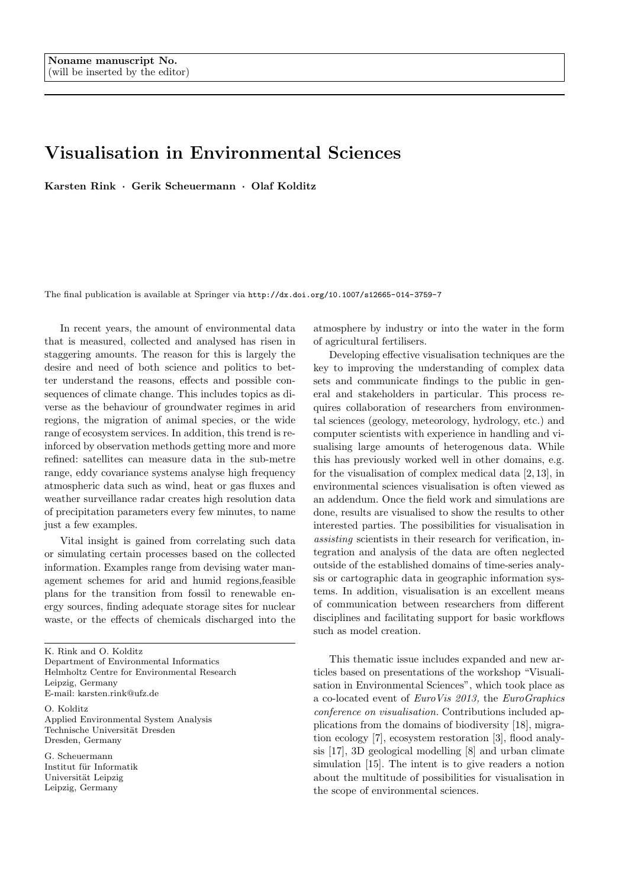## Visualisation in Environmental Sciences

Karsten Rink · Gerik Scheuermann · Olaf Kolditz

The final publication is available at Springer via http://dx.doi.org/10.1007/s12665-014-3759-7

In recent years, the amount of environmental data that is measured, collected and analysed has risen in staggering amounts. The reason for this is largely the desire and need of both science and politics to better understand the reasons, effects and possible consequences of climate change. This includes topics as diverse as the behaviour of groundwater regimes in arid regions, the migration of animal species, or the wide range of ecosystem services. In addition, this trend is reinforced by observation methods getting more and more refined: satellites can measure data in the sub-metre range, eddy covariance systems analyse high frequency atmospheric data such as wind, heat or gas fluxes and weather surveillance radar creates high resolution data of precipitation parameters every few minutes, to name just a few examples.

Vital insight is gained from correlating such data or simulating certain processes based on the collected information. Examples range from devising water management schemes for arid and humid regions,feasible plans for the transition from fossil to renewable energy sources, finding adequate storage sites for nuclear waste, or the effects of chemicals discharged into the

K. Rink and O. Kolditz Department of Environmental Informatics Helmholtz Centre for Environmental Research Leipzig, Germany E-mail: karsten.rink@ufz.de O. Kolditz Applied Environmental System Analysis

Technische Universität Dresden Dresden, Germany

G. Scheuermann Institut für Informatik Universität Leipzig Leipzig, Germany

atmosphere by industry or into the water in the form of agricultural fertilisers.

Developing effective visualisation techniques are the key to improving the understanding of complex data sets and communicate findings to the public in general and stakeholders in particular. This process requires collaboration of researchers from environmental sciences (geology, meteorology, hydrology, etc.) and computer scientists with experience in handling and visualising large amounts of heterogenous data. While this has previously worked well in other domains, e.g. for the visualisation of complex medical data [2, 13], in environmental sciences visualisation is often viewed as an addendum. Once the field work and simulations are done, results are visualised to show the results to other interested parties. The possibilities for visualisation in assisting scientists in their research for verification, integration and analysis of the data are often neglected outside of the established domains of time-series analysis or cartographic data in geographic information systems. In addition, visualisation is an excellent means of communication between researchers from different disciplines and facilitating support for basic workflows such as model creation.

This thematic issue includes expanded and new articles based on presentations of the workshop "Visualisation in Environmental Sciences", which took place as a co-located event of *EuroVis 2013*, the *EuroGraphics* conference on visualisation. Contributions included applications from the domains of biodiversity [18], migration ecology [7], ecosystem restoration [3], flood analysis [17], 3D geological modelling [8] and urban climate simulation [15]. The intent is to give readers a notion about the multitude of possibilities for visualisation in the scope of environmental sciences.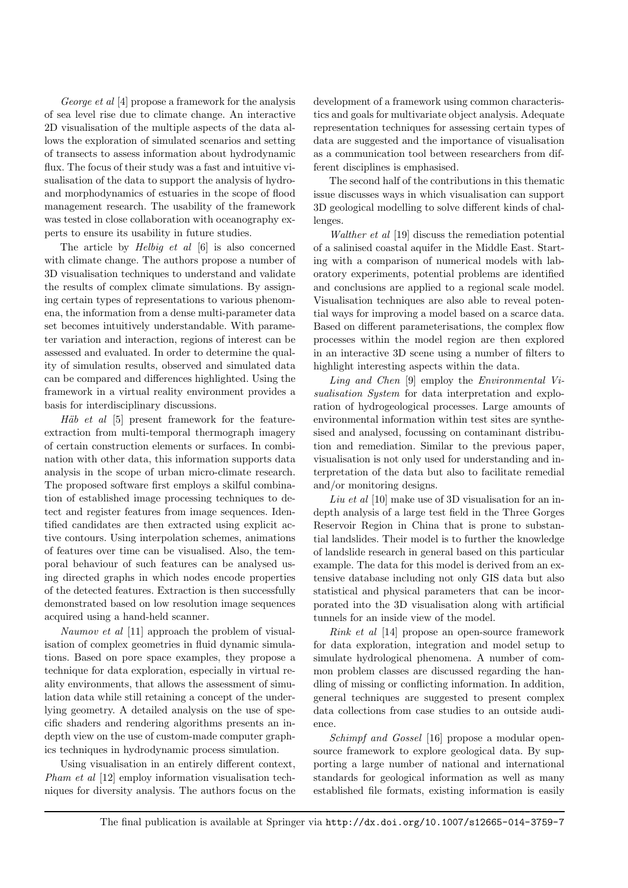George et al [4] propose a framework for the analysis of sea level rise due to climate change. An interactive 2D visualisation of the multiple aspects of the data allows the exploration of simulated scenarios and setting of transects to assess information about hydrodynamic flux. The focus of their study was a fast and intuitive visualisation of the data to support the analysis of hydroand morphodynamics of estuaries in the scope of flood management research. The usability of the framework was tested in close collaboration with oceanography experts to ensure its usability in future studies.

The article by  $Helbig$  et al [6] is also concerned with climate change. The authors propose a number of 3D visualisation techniques to understand and validate the results of complex climate simulations. By assigning certain types of representations to various phenomena, the information from a dense multi-parameter data set becomes intuitively understandable. With parameter variation and interaction, regions of interest can be assessed and evaluated. In order to determine the quality of simulation results, observed and simulated data can be compared and differences highlighted. Using the framework in a virtual reality environment provides a basis for interdisciplinary discussions.

Häb et al  $[5]$  present framework for the featureextraction from multi-temporal thermograph imagery of certain construction elements or surfaces. In combination with other data, this information supports data analysis in the scope of urban micro-climate research. The proposed software first employs a skilful combination of established image processing techniques to detect and register features from image sequences. Identified candidates are then extracted using explicit active contours. Using interpolation schemes, animations of features over time can be visualised. Also, the temporal behaviour of such features can be analysed using directed graphs in which nodes encode properties of the detected features. Extraction is then successfully demonstrated based on low resolution image sequences acquired using a hand-held scanner.

Naumov et al [11] approach the problem of visualisation of complex geometries in fluid dynamic simulations. Based on pore space examples, they propose a technique for data exploration, especially in virtual reality environments, that allows the assessment of simulation data while still retaining a concept of the underlying geometry. A detailed analysis on the use of specific shaders and rendering algorithms presents an indepth view on the use of custom-made computer graphics techniques in hydrodynamic process simulation.

Using visualisation in an entirely different context, Pham et al [12] employ information visualisation techniques for diversity analysis. The authors focus on the

development of a framework using common characteristics and goals for multivariate object analysis. Adequate representation techniques for assessing certain types of data are suggested and the importance of visualisation as a communication tool between researchers from different disciplines is emphasised.

The second half of the contributions in this thematic issue discusses ways in which visualisation can support 3D geological modelling to solve different kinds of challenges.

Walther et al [19] discuss the remediation potential of a salinised coastal aquifer in the Middle East. Starting with a comparison of numerical models with laboratory experiments, potential problems are identified and conclusions are applied to a regional scale model. Visualisation techniques are also able to reveal potential ways for improving a model based on a scarce data. Based on different parameterisations, the complex flow processes within the model region are then explored in an interactive 3D scene using a number of filters to highlight interesting aspects within the data.

Ling and Chen [9] employ the Environmental Visualisation System for data interpretation and exploration of hydrogeological processes. Large amounts of environmental information within test sites are synthesised and analysed, focussing on contaminant distribution and remediation. Similar to the previous paper, visualisation is not only used for understanding and interpretation of the data but also to facilitate remedial and/or monitoring designs.

Liu et al [10] make use of 3D visualisation for an indepth analysis of a large test field in the Three Gorges Reservoir Region in China that is prone to substantial landslides. Their model is to further the knowledge of landslide research in general based on this particular example. The data for this model is derived from an extensive database including not only GIS data but also statistical and physical parameters that can be incorporated into the 3D visualisation along with artificial tunnels for an inside view of the model.

Rink et al [14] propose an open-source framework for data exploration, integration and model setup to simulate hydrological phenomena. A number of common problem classes are discussed regarding the handling of missing or conflicting information. In addition, general techniques are suggested to present complex data collections from case studies to an outside audience.

Schimpf and Gossel [16] propose a modular opensource framework to explore geological data. By supporting a large number of national and international standards for geological information as well as many established file formats, existing information is easily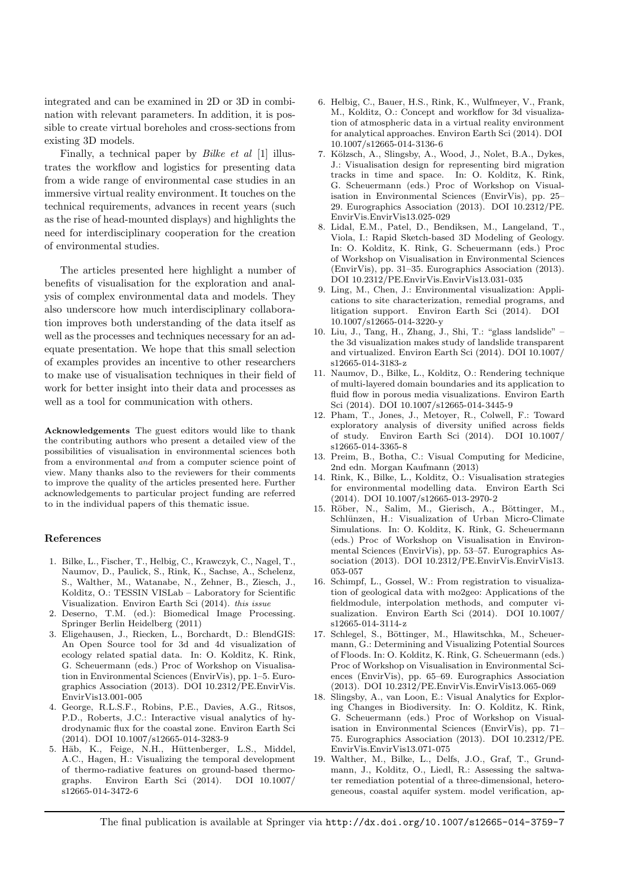integrated and can be examined in 2D or 3D in combination with relevant parameters. In addition, it is possible to create virtual boreholes and cross-sections from existing 3D models.

Finally, a technical paper by *Bilke et al* [1] illustrates the workflow and logistics for presenting data from a wide range of environmental case studies in an immersive virtual reality environment. It touches on the technical requirements, advances in recent years (such as the rise of head-mounted displays) and highlights the need for interdisciplinary cooperation for the creation of environmental studies.

The articles presented here highlight a number of benefits of visualisation for the exploration and analysis of complex environmental data and models. They also underscore how much interdisciplinary collaboration improves both understanding of the data itself as well as the processes and techniques necessary for an adequate presentation. We hope that this small selection of examples provides an incentive to other researchers to make use of visualisation techniques in their field of work for better insight into their data and processes as well as a tool for communication with others.

Acknowledgements The guest editors would like to thank the contributing authors who present a detailed view of the possibilities of visualisation in environmental sciences both from a environmental and from a computer science point of view. Many thanks also to the reviewers for their comments to improve the quality of the articles presented here. Further acknowledgements to particular project funding are referred to in the individual papers of this thematic issue.

## References

- 1. Bilke, L., Fischer, T., Helbig, C., Krawczyk, C., Nagel, T., Naumov, D., Paulick, S., Rink, K., Sachse, A., Schelenz, S., Walther, M., Watanabe, N., Zehner, B., Ziesch, J., Kolditz, O.: TESSIN VISLab – Laboratory for Scientific Visualization. Environ Earth Sci (2014). this issue
- 2. Deserno, T.M. (ed.): Biomedical Image Processing. Springer Berlin Heidelberg (2011)
- 3. Eligehausen, J., Riecken, L., Borchardt, D.: BlendGIS: An Open Source tool for 3d and 4d visualization of ecology related spatial data. In: O. Kolditz, K. Rink, G. Scheuermann (eds.) Proc of Workshop on Visualisation in Environmental Sciences (EnvirVis), pp. 1–5. Eurographics Association (2013). DOI 10.2312/PE.EnvirVis. EnvirVis13.001-005
- 4. George, R.L.S.F., Robins, P.E., Davies, A.G., Ritsos, P.D., Roberts, J.C.: Interactive visual analytics of hydrodynamic flux for the coastal zone. Environ Earth Sci (2014). DOI 10.1007/s12665-014-3283-9
- 5. Häb, K., Feige, N.H., Hüttenberger, L.S., Middel, A.C., Hagen, H.: Visualizing the temporal development of thermo-radiative features on ground-based thermographs. Environ Earth Sci (2014). DOI 10.1007/ s12665-014-3472-6
- 6. Helbig, C., Bauer, H.S., Rink, K., Wulfmeyer, V., Frank, M., Kolditz, O.: Concept and workflow for 3d visualization of atmospheric data in a virtual reality environment for analytical approaches. Environ Earth Sci (2014). DOI 10.1007/s12665-014-3136-6
- 7. Kölzsch, A., Slingsby, A., Wood, J., Nolet, B.A., Dykes, J.: Visualisation design for representing bird migration tracks in time and space. In: O. Kolditz, K. Rink, G. Scheuermann (eds.) Proc of Workshop on Visualisation in Environmental Sciences (EnvirVis), pp. 25– 29. Eurographics Association (2013). DOI 10.2312/PE. EnvirVis.EnvirVis13.025-029
- 8. Lidal, E.M., Patel, D., Bendiksen, M., Langeland, T., Viola, I.: Rapid Sketch-based 3D Modeling of Geology. In: O. Kolditz, K. Rink, G. Scheuermann (eds.) Proc of Workshop on Visualisation in Environmental Sciences (EnvirVis), pp. 31–35. Eurographics Association (2013). DOI 10.2312/PE.EnvirVis.EnvirVis13.031-035
- 9. Ling, M., Chen, J.: Environmental visualization: Applications to site characterization, remedial programs, and litigation support. Environ Earth Sci (2014). DOI 10.1007/s12665-014-3220-y
- 10. Liu, J., Tang, H., Zhang, J., Shi, T.: "glass landslide" the 3d visualization makes study of landslide transparent and virtualized. Environ Earth Sci (2014). DOI 10.1007/ s12665-014-3183-z
- 11. Naumov, D., Bilke, L., Kolditz, O.: Rendering technique of multi-layered domain boundaries and its application to fluid flow in porous media visualizations. Environ Earth Sci (2014). DOI 10.1007/s12665-014-3445-9
- 12. Pham, T., Jones, J., Metoyer, R., Colwell, F.: Toward exploratory analysis of diversity unified across fields of study. Environ Earth Sci (2014). DOI 10.1007/ s12665-014-3365-8
- 13. Preim, B., Botha, C.: Visual Computing for Medicine, 2nd edn. Morgan Kaufmann (2013)
- 14. Rink, K., Bilke, L., Kolditz, O.: Visualisation strategies for environmental modelling data. Environ Earth Sci (2014). DOI 10.1007/s12665-013-2970-2
- 15. Röber, N., Salim, M., Gierisch, A., Böttinger, M., Schlünzen, H.: Visualization of Urban Micro-Climate Simulations. In: O. Kolditz, K. Rink, G. Scheuermann (eds.) Proc of Workshop on Visualisation in Environmental Sciences (EnvirVis), pp. 53–57. Eurographics Association (2013). DOI 10.2312/PE.EnvirVis.EnvirVis13. 053-057
- 16. Schimpf, L., Gossel, W.: From registration to visualization of geological data with mo2geo: Applications of the fieldmodule, interpolation methods, and computer visualization. Environ Earth Sci (2014). DOI 10.1007/ s12665-014-3114-z
- 17. Schlegel, S., Böttinger, M., Hlawitschka, M., Scheuermann, G.: Determining and Visualizing Potential Sources of Floods. In: O. Kolditz, K. Rink, G. Scheuermann (eds.) Proc of Workshop on Visualisation in Environmental Sciences (EnvirVis), pp. 65–69. Eurographics Association (2013). DOI 10.2312/PE.EnvirVis.EnvirVis13.065-069
- 18. Slingsby, A., van Loon, E.: Visual Analytics for Exploring Changes in Biodiversity. In: O. Kolditz, K. Rink, G. Scheuermann (eds.) Proc of Workshop on Visualisation in Environmental Sciences (EnvirVis), pp. 71– 75. Eurographics Association (2013). DOI 10.2312/PE. EnvirVis.EnvirVis13.071-075
- 19. Walther, M., Bilke, L., Delfs, J.O., Graf, T., Grundmann, J., Kolditz, O., Liedl, R.: Assessing the saltwater remediation potential of a three-dimensional, heterogeneous, coastal aquifer system. model verification, ap-